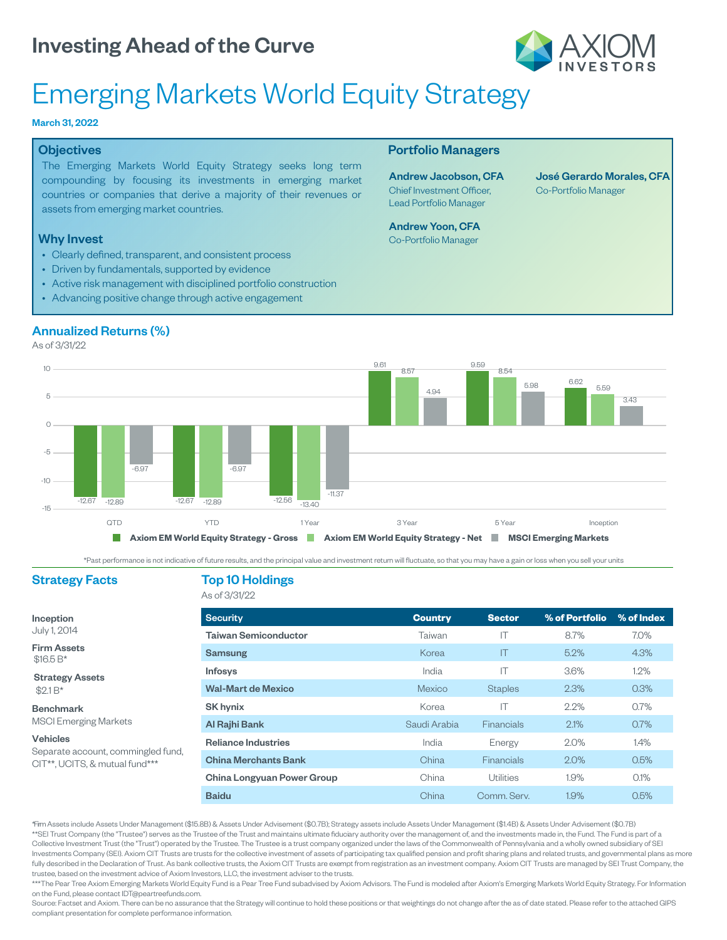

## Emerging Markets World Equity Strategy

#### March 31, 2022

#### **Objectives**

The Emerging Markets World Equity Strategy seeks long term compounding by focusing its investments in emerging market countries or companies that derive a majority of their revenues or assets from emerging market countries.

#### Why Invest

- Clearly defined, transparent, and consistent process
- Driven by fundamentals, supported by evidence
- Active risk management with disciplined portfolio construction
- Advancing positive change through active engagement

#### Portfolio Managers

Andrew Jacobson, CFA Chief Investment Officer, Lead Portfolio Manager

Andrew Yoon, CFA Co-Portfolio Manager

José Gerardo Morales, CFA Co-Portfolio Manager

### Annualized Returns (%)

As of 3/31/22



\*Past performance is not indicative of future results, and the principal value and investment return will fluctuate, so that you may have a gain or loss when you sell your units

Strategy Assets

MSCI Emerging Markets

Separate account, commingled fund, CIT\*\*, UCITS, & mutual fund\*\*\*

Inception July 1, 2014 Firm Assets \$16.5 B\*

 $$2.1 B*$ Benchmark

Vehicles

#### Strategy Facts Top 10 Holdings

As of 3/31/22

| <b>Security</b>             | <b>Country</b> | <b>Sector</b>     | % of Portfolio | % of Index |
|-----------------------------|----------------|-------------------|----------------|------------|
| <b>Taiwan Semiconductor</b> | Taiwan         | IΤ                | 8.7%           | 7.0%       |
| <b>Samsung</b>              | Korea          | IT                | 5.2%           | 4.3%       |
| <b>Infosys</b>              | India          | IT                | 3.6%           | 1.2%       |
| <b>Wal-Mart de Mexico</b>   | <b>Mexico</b>  | <b>Staples</b>    | 2.3%           | 0.3%       |
| <b>SK hynix</b>             | Korea          | IΤ                | 2.2%           | $0.7\%$    |
| Al Rajhi Bank               | Saudi Arabia   | <b>Financials</b> | 2.1%           | 0.7%       |
| <b>Reliance Industries</b>  | India          | Energy            | 2.0%           | 14%        |
| <b>China Merchants Bank</b> | China          | <b>Financials</b> | 2.0%           | 0.5%       |
| China Longyuan Power Group  | China          | Utilities         | 1.9%           | 0.1%       |
| <b>Baidu</b>                | China          | Comm. Serv.       | 1.9%           | 0.5%       |

\*Firm Assets include Assets Under Management (\$15.8B) Assets Under Advisement (\$0.7B); Strategy assets include Assets Under Management (\$1.4B) & Assets Under Advisement (\$0.7B) \*\*SEI Trust Company (the "Trustee") serves as the Trustee of the Trust and maintains ultimate fiduciary authority over the management of, and the investments made in, the Fund. The Fund is part of a Collective Investment Trust (the "Trust") operated by the Trustee. The Trustee is a trust company organized under the laws of the Commonwealth of Pennsylvania and a wholly owned subsidiary of SEI Investments Company (SEI). Axiom CIT Trusts are trusts for the collective investment of assets of participating tax qualified pension and profit sharing plans and related trusts, and governmental plans as more fully described in the Declaration of Trust. As bank collective trusts, the Axiom CIT Trusts are exempt from registration as an investment company. Axiom CIT Trusts are managed by SEI Trust Company, the trustee, based on the investment advice of Axiom Investors, LLC, the investment adviser to the trusts.

\*\*\*The Pear Tree Axiom Emerging Markets World Equity Fund is a Pear Tree Fund subadvised by Axiom Advisors. The Fund is modeled after Axiom's Emerging Markets World Equity Strategy. For Information on the Fund, please contact IDT@peartreefunds.com.

Source: Factset and Axiom. There can be no assurance that the Strategy will continue to hold these positions or that weightings do not change after the as of date stated. Please refer to the attached GIPS compliant presentation for complete performance information.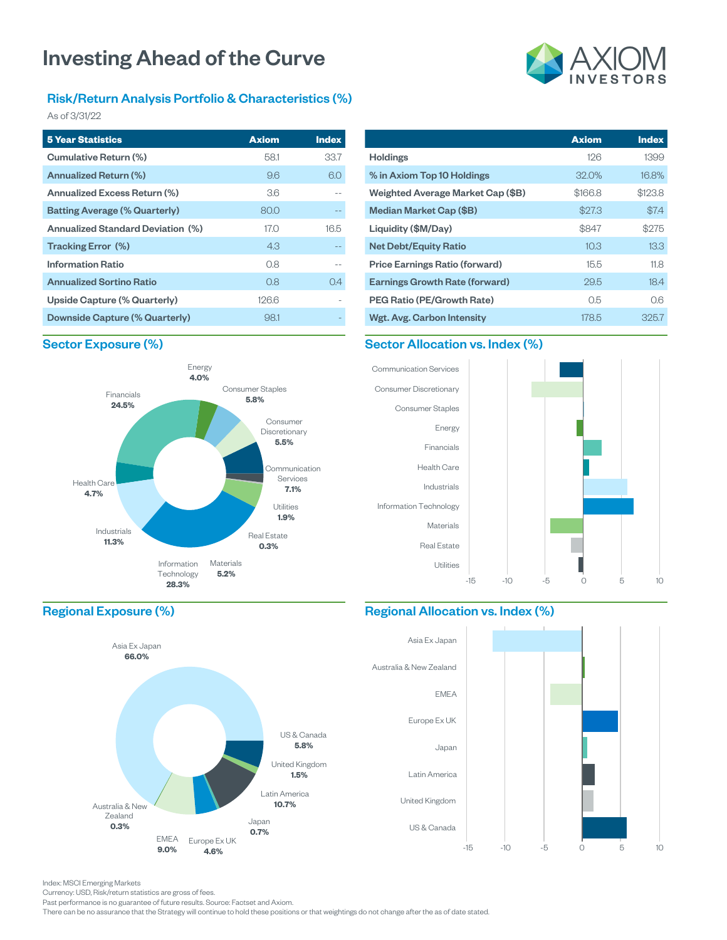#### Risk/Return Analysis Portfolio & Characteristics (%)

As of 3/31/22

| <b>5 Year Statistics</b>             | <b>Axiom</b> | <b>Index</b> |
|--------------------------------------|--------------|--------------|
| Cumulative Return (%)                | 58.1         | 33.7         |
| Annualized Return (%)                | 96           | 6.0          |
| Annualized Excess Return (%)         | 3.6          |              |
| <b>Batting Average (% Quarterly)</b> | 80.0         |              |
| Annualized Standard Deviation (%)    | 17.O         | 16.5         |
| Tracking Error (%)                   | 4.3          |              |
| <b>Information Ratio</b>             | 0.8          |              |
| <b>Annualized Sortino Ratio</b>      | 0.8          | 0.4          |
| Upside Capture (% Quarterly)         | 126.6        |              |
| Downside Capture (% Quarterly)       | 98.1         |              |

# **Axiom Index**

|                                       | <b>Axiom</b> | <b>Index</b> |
|---------------------------------------|--------------|--------------|
| <b>Holdings</b>                       | 126          | 1399         |
| % in Axiom Top 10 Holdings            | 32.0%        | 16.8%        |
| Weighted Average Market Cap (\$B)     | \$166.8      | \$123.8      |
| Median Market Cap (\$B)               | \$27.3       | \$7.4        |
| Liquidity (\$M/Day)                   | \$847        | \$275        |
| <b>Net Debt/Equity Ratio</b>          | 10.3         | 13.3         |
| <b>Price Earnings Ratio (forward)</b> | 15.5         | 11.8         |
| <b>Earnings Growth Rate (forward)</b> | 29.5         | 18.4         |
| <b>PEG Ratio (PE/Growth Rate)</b>     | 0.5          | 0.6          |
| Wgt. Avg. Carbon Intensity            | 178.5        | 325.7        |

#### Sector Exposure (%)









#### Regional Allocation vs. Index (%)



#### Regional Exposure (%)



Index: MSCI Emerging Markets

Currency: USD, Risk/return statistics are gross of fees.

Past performance is no guarantee of future results. Source: Factset and Axiom.

There can be no assurance that the Strategy will continue to hold these positions or that weightings do not change after the as of date stated.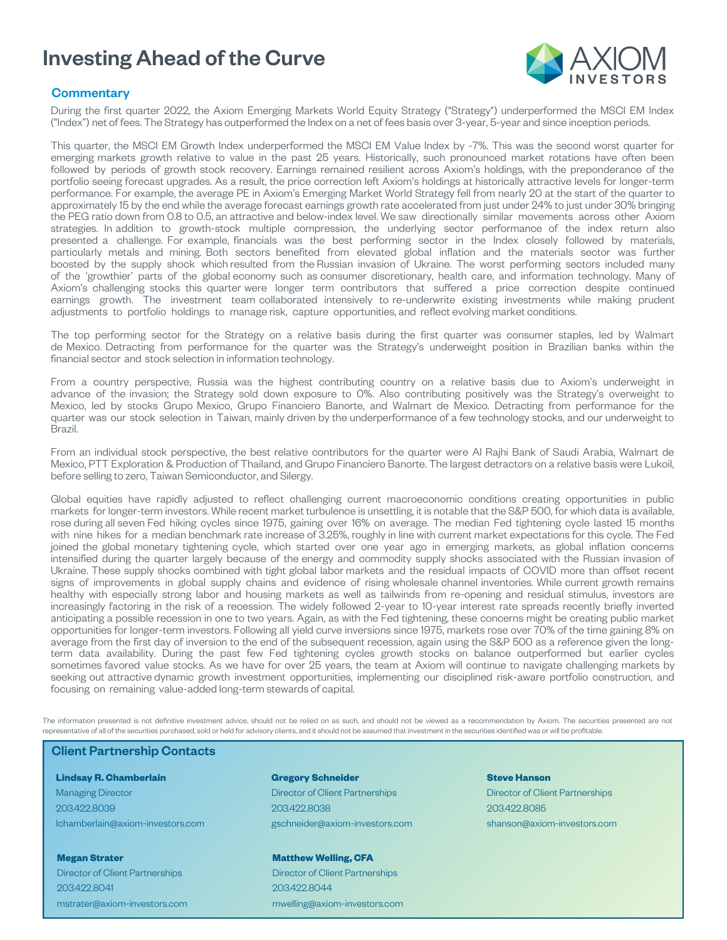

#### **Commentary**

During the first quarter 2022, the Axiom Emerging Markets World Equity Strategy ("Strategy") underperformed the MSCI EM Index ("Index") net of fees. The Strategy has outperformed the Index on a net of fees basis over 3-year, 5-year and since inception periods.

This quarter, the MSCI EM Growth Index underperformed the MSCI EM Value Index by -7%. This was the second worst quarter for emerging markets growth relative to value in the past 25 years. Historically, such pronounced market rotations have often been followed by periods of growth stock recovery. Earnings remained resilient across Axiom's holdings, with the preponderance of the portfolio seeing forecast upgrades. As a result, the price correction left Axiom's holdings at historically attractive levels for longer-term performance. For example, the average PE in Axiom's Emerging Market World Strategy fell from nearly 20 at the start of the quarter to approximately 15 by the end while the average forecast earnings growth rate accelerated from just under 24% to just under 30% bringing the PEG ratio down from 0.8 to 0.5, an attractive and below-index level. We saw directionally similar movements across other Axiom strategies. In addition to growth-stock multiple compression, the underlying sector performance of the index return also presented a challenge. For example, financials was the best performing sector in the Index closely followed by materials, particularly metals and mining. Both sectors benefited from elevated global inflation and the materials sector was further boosted by the supply shock which resulted from the Russian invasion of Ukraine. The worst performing sectors included many of the 'growthier' parts of the global economy such as consumer discretionary, health care, and information technology. Many of Axiom's challenging stocks this quarter were longer term contributors that suffered a price correction despite continued earnings growth. The investment team collaborated intensively to re-underwrite existing investments while making prudent adjustments to portfolio holdings to manage risk, capture opportunities, and reflect evolving market conditions.

The top performing sector for the Strategy on a relative basis during the first quarter was consumer staples, led by Walmart de Mexico. Detracting from performance for the quarter was the Strategy's underweight position in Brazilian banks within the financial sector and stock selection in information technology.

From a country perspective, Russia was the highest contributing country on a relative basis due to Axiom's underweight in advance of the invasion; the Strategy sold down exposure to 0%. Also contributing positively was the Strategy's overweight to Mexico, led by stocks Grupo Mexico, Grupo Financiero Banorte, and Walmart de Mexico. Detracting from performance for the quarter was our stock selection in Taiwan, mainly driven by the underperformance of a few technology stocks, and our underweight to Brazil.

From an individual stock perspective, the best relative contributors for the quarter were Al Rajhi Bank of Saudi Arabia, Walmart de Mexico, PTT Exploration & Production of Thailand, and Grupo Financiero Banorte. The largest detractors on a relative basis were Lukoil, before selling to zero, Taiwan Semiconductor, and Silergy.

Global equities have rapidly adjusted to reflect challenging current macroeconomic conditions creating opportunities in public markets for longer-term investors. While recent market turbulence is unsettling, it is notable that the S&P 500, for which data is available, rose during all seven Fed hiking cycles since 1975, gaining over 16% on average. The median Fed tightening cycle lasted 15 months with nine hikes for a median benchmark rate increase of 3.25%, roughly in line with current market expectations for this cycle. The Fed joined the global monetary tightening cycle, which started over one year ago in emerging markets, as global inflation concerns intensified during the quarter largely because of the energy and commodity supply shocks associated with the Russian invasion of Ukraine. These supply shocks combined with tight global labor markets and the residual impacts of COVID more than offset recent signs of improvements in global supply chains and evidence of rising wholesale channel inventories. While current growth remains healthy with especially strong labor and housing markets as well as tailwinds from re-opening and residual stimulus, investors are increasingly factoring in the risk of a recession. The widely followed 2-year to 10-year interest rate spreads recently briefly inverted anticipating a possible recession in one to two years. Again, as with the Fed tightening, these concerns might be creating public market opportunities for longer-term investors. Following all yield curve inversions since 1975, markets rose over 70% of the time gaining 8% on average from the first day of inversion to the end of the subsequent recession, again using the S&P 500 as a reference given the longterm data availability. During the past few Fed tightening cycles growth stocks on balance outperformed but earlier cycles sometimes favored value stocks. As we have for over 25 years, the team at Axiom will continue to navigate challenging markets by seeking out attractive dynamic growth investment opportunities, implementing our disciplined risk-aware portfolio construction, and focusing on remaining value-added long-term stewards of capital.

The information presented is not definitive investment advice, should not be relied on as such, and should not be viewed as a recommendation by Axiom. The securities presented are not representative of all of the securities purchased, sold or held for advisory clients, and it should not be assumed that investment in the securities identified was or will be profitable.

#### Client Partnership Contacts

**Lindsay R. Chamberlain** Managing Director 203.422.8039 lchamberlain@axiom-investors.com

**Megan Strater** Director of Client Partnerships 203.422.8041 mstrater@axiom-investors.com

#### **Gregory Schneider** Director of Client Partnerships 203.422.8038 gschneider@axiom-investors.com

**Matthew Welling, CFA** Director of Client Partnerships 203.422.8044

mwelling@axiom-investors.com

**Steve Hanson** Director of Client Partnerships 203.422.8085 shanson@axiom-investors.com